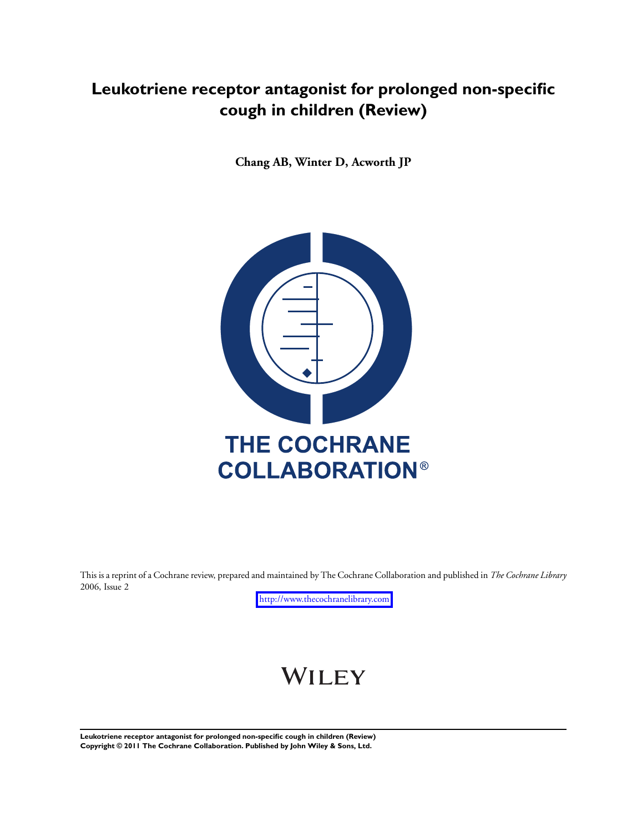## **Leukotriene receptor antagonist for prolonged non-specific cough in children (Review)**

**Chang AB, Winter D, Acworth JP**



This is a reprint of a Cochrane review, prepared and maintained by The Cochrane Collaboration and published in *The Cochrane Library* 2006, Issue 2

<http://www.thecochranelibrary.com>

# WILEY

**Leukotriene receptor antagonist for prolonged non-specific cough in children (Review) Copyright © 2011 The Cochrane Collaboration. Published by John Wiley & Sons, Ltd.**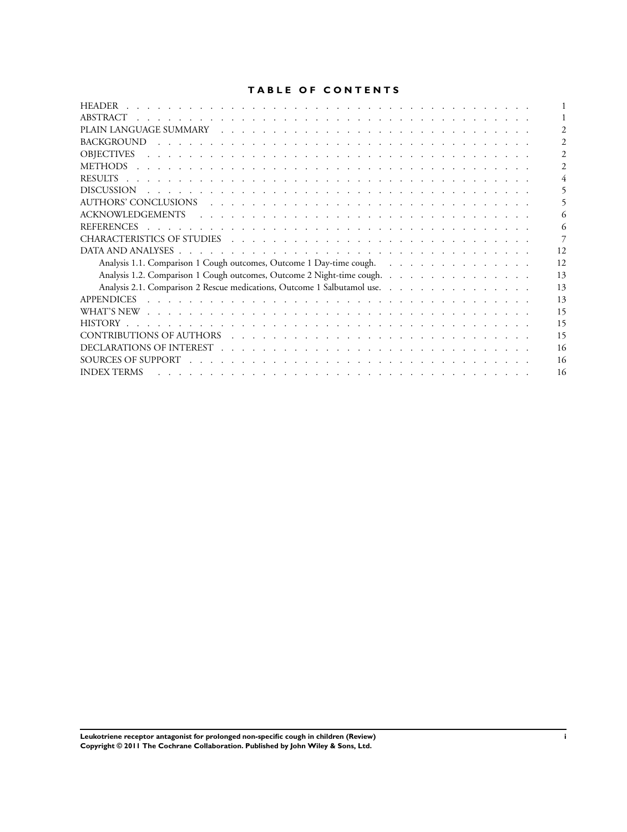## **TABLE OF CONTENTS**

| <b>HEADER</b>                                                                                                                                                                                                                                   |    |
|-------------------------------------------------------------------------------------------------------------------------------------------------------------------------------------------------------------------------------------------------|----|
| ABSTRACT                                                                                                                                                                                                                                        |    |
| PLAIN LANGUAGE SUMMARY IIIII and IIIII and IIII and III and III and III and III and III and III and III and II                                                                                                                                  |    |
| <b>BACKGROUND</b>                                                                                                                                                                                                                               |    |
| <b>OBJECTIVES</b>                                                                                                                                                                                                                               |    |
| <b>METHODS</b><br>a construction of the construction of the construction of the construction of the construction of the construction of the construction of the construction of the construction of the construction of the construction of the |    |
|                                                                                                                                                                                                                                                 |    |
| <b>DISCUSSION</b>                                                                                                                                                                                                                               |    |
|                                                                                                                                                                                                                                                 |    |
| ACKNOWLEDGEMENTS<br>the contract of the contract of the contract of the contract of the contract of the contract of the contract of                                                                                                             |    |
| <b>REFERENCES</b>                                                                                                                                                                                                                               |    |
|                                                                                                                                                                                                                                                 |    |
|                                                                                                                                                                                                                                                 | 12 |
| Analysis 1.1. Comparison 1 Cough outcomes, Outcome 1 Day-time cough.                                                                                                                                                                            | 12 |
| Analysis 1.2. Comparison 1 Cough outcomes, Outcome 2 Night-time cough.                                                                                                                                                                          | 13 |
| Analysis 2.1. Comparison 2 Rescue medications, Outcome 1 Salbutamol use.                                                                                                                                                                        | 13 |
| <b>APPENDICES</b>                                                                                                                                                                                                                               | 13 |
|                                                                                                                                                                                                                                                 | 15 |
|                                                                                                                                                                                                                                                 | 15 |
| CONTRIBUTIONS OF AUTHORS<br>the contract of the contract of the contract of the contract of the contract of the contract of the contract of                                                                                                     | 15 |
|                                                                                                                                                                                                                                                 | 16 |
|                                                                                                                                                                                                                                                 | 16 |
| <b>INDEX TERMS</b>                                                                                                                                                                                                                              | 16 |
|                                                                                                                                                                                                                                                 |    |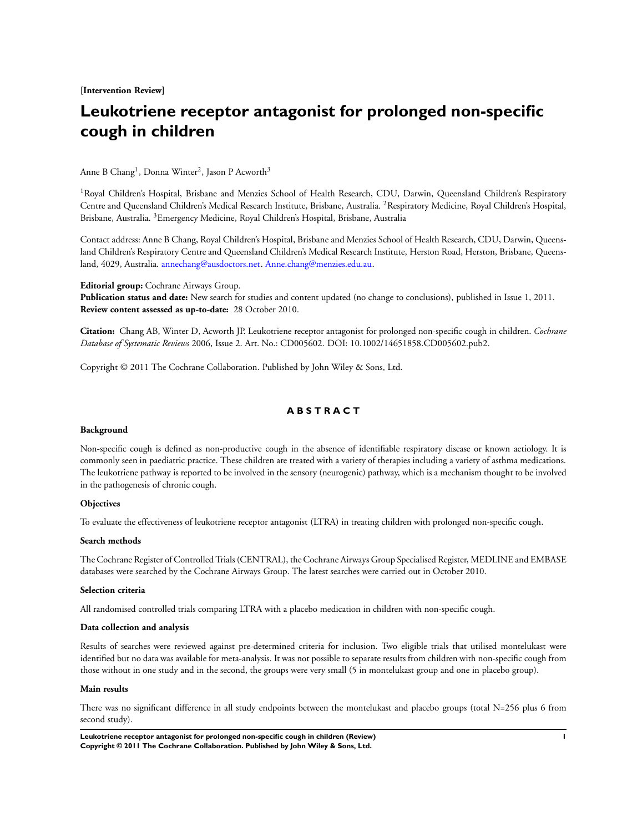**[Intervention Review]**

## **Leukotriene receptor antagonist for prolonged non-specific cough in children**

Anne B Chang $^{\rm l}$ , Donna Winter $^{\rm 2}$ , Jason P Acworth $^{\rm 3}$ 

<sup>1</sup> Royal Children's Hospital, Brisbane and Menzies School of Health Research, CDU, Darwin, Queensland Children's Respiratory Centre and Queensland Children's Medical Research Institute, Brisbane, Australia. <sup>2</sup>Respiratory Medicine, Royal Children's Hospital, Brisbane, Australia. <sup>3</sup>Emergency Medicine, Royal Children's Hospital, Brisbane, Australia

Contact address: Anne B Chang, Royal Children's Hospital, Brisbane and Menzies School of Health Research, CDU, Darwin, Queensland Children's Respiratory Centre and Queensland Children's Medical Research Institute, Herston Road, Herston, Brisbane, Queensland, 4029, Australia. [annechang@ausdoctors.net.](mailto:annechang@ausdoctors.net) [Anne.chang@menzies.edu.au.](mailto:Anne.chang@menzies.edu.au)

**Editorial group:** Cochrane Airways Group.

**Publication status and date:** New search for studies and content updated (no change to conclusions), published in Issue 1, 2011. **Review content assessed as up-to-date:** 28 October 2010.

**Citation:** Chang AB, Winter D, Acworth JP. Leukotriene receptor antagonist for prolonged non-specific cough in children. *Cochrane Database of Systematic Reviews* 2006, Issue 2. Art. No.: CD005602. DOI: 10.1002/14651858.CD005602.pub2.

Copyright © 2011 The Cochrane Collaboration. Published by John Wiley & Sons, Ltd.

#### **A B S T R A C T**

#### **Background**

Non-specific cough is defined as non-productive cough in the absence of identifiable respiratory disease or known aetiology. It is commonly seen in paediatric practice. These children are treated with a variety of therapies including a variety of asthma medications. The leukotriene pathway is reported to be involved in the sensory (neurogenic) pathway, which is a mechanism thought to be involved in the pathogenesis of chronic cough.

#### **Objectives**

To evaluate the effectiveness of leukotriene receptor antagonist (LTRA) in treating children with prolonged non-specific cough.

#### **Search methods**

The Cochrane Register of Controlled Trials (CENTRAL), the Cochrane Airways Group Specialised Register, MEDLINE and EMBASE databases were searched by the Cochrane Airways Group. The latest searches were carried out in October 2010.

#### **Selection criteria**

All randomised controlled trials comparing LTRA with a placebo medication in children with non-specific cough.

#### **Data collection and analysis**

Results of searches were reviewed against pre-determined criteria for inclusion. Two eligible trials that utilised montelukast were identified but no data was available for meta-analysis. It was not possible to separate results from children with non-specific cough from those without in one study and in the second, the groups were very small (5 in montelukast group and one in placebo group).

#### **Main results**

There was no significant difference in all study endpoints between the montelukast and placebo groups (total N=256 plus 6 from second study).

**Leukotriene receptor antagonist for prolonged non-specific cough in children (Review) 1 Copyright © 2011 The Cochrane Collaboration. Published by John Wiley & Sons, Ltd.**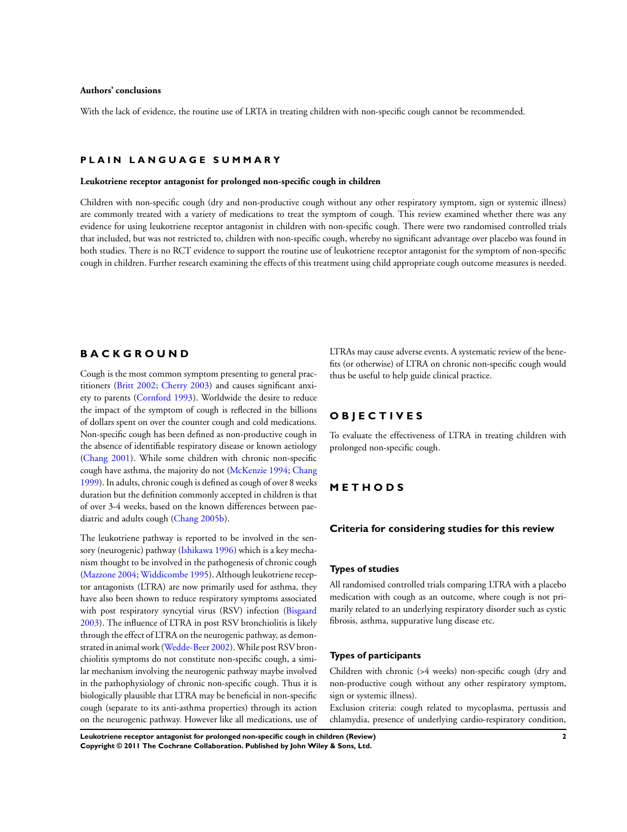#### **Authors' conclusions**

With the lack of evidence, the routine use of LRTA in treating children with non-specific cough cannot be recommended.

#### **P L A I N L A N G U A G E S U M M A R Y**

#### **Leukotriene receptor antagonist for prolonged non-specific cough in children**

Children with non-specific cough (dry and non-productive cough without any other respiratory symptom, sign or systemic illness) are commonly treated with a variety of medications to treat the symptom of cough. This review examined whether there was any evidence for using leukotriene receptor antagonist in children with non-specific cough. There were two randomised controlled trials that included, but was not restricted to, children with non-specific cough, whereby no significant advantage over placebo was found in both studies. There is no RCT evidence to support the routine use of leukotriene receptor antagonist for the symptom of non-specific cough in children. Further research examining the effects of this treatment using child appropriate cough outcome measures is needed.

## **B A C K G R O U N D**

Cough is the most common symptom presenting to general practitioners ([Britt 2002](#page-7-0); [Cherry 2003\)](#page-7-0) and causes significant anxiety to parents ([Cornford 1993](#page-7-0)). Worldwide the desire to reduce the impact of the symptom of cough is reflected in the billions of dollars spent on over the counter cough and cold medications. Non-specific cough has been defined as non-productive cough in the absence of identifiable respiratory disease or known aetiology [\(Chang 2001\)](#page-7-0). While some children with chronic non-specific cough have asthma, the majority do not [\(McKenzie 1994;](#page-7-0) [Chang](#page-7-0) [1999](#page-7-0)). In adults, chronic cough is defined as cough of over 8 weeks duration but the definition commonly accepted in children is that of over 3-4 weeks, based on the known differences between paediatric and adults cough [\(Chang 2005b](#page-7-0)).

The leukotriene pathway is reported to be involved in the sensory (neurogenic) pathway [\(Ishikawa 1996](#page-7-0)) which is a key mechanism thought to be involved in the pathogenesis of chronic cough [\(Mazzone 2004;](#page-7-0) [Widdicombe 1995](#page-7-0)). Although leukotriene receptor antagonists (LTRA) are now primarily used for asthma, they have also been shown to reduce respiratory symptoms associated with post respiratory syncytial virus (RSV) infection ([Bisgaard](#page-7-0) [2003](#page-7-0)). The influence of LTRA in post RSV bronchiolitis is likely through the effect of LTRA on the neurogenic pathway, as demonstrated in animal work [\(Wedde-Beer 2002\)](#page-7-0). While post RSV bronchiolitis symptoms do not constitute non-specific cough, a similar mechanism involving the neurogenic pathway maybe involved in the pathophysiology of chronic non-specific cough. Thus it is biologically plausible that LTRA may be beneficial in non-specific cough (separate to its anti-asthma properties) through its action on the neurogenic pathway. However like all medications, use of LTRAs may cause adverse events. A systematic review of the benefits (or otherwise) of LTRA on chronic non-specific cough would thus be useful to help guide clinical practice.

## **O B J E C T I V E S**

To evaluate the effectiveness of LTRA in treating children with prolonged non-specific cough.

## **M E T H O D S**

#### **Criteria for considering studies for this review**

#### **Types of studies**

All randomised controlled trials comparing LTRA with a placebo medication with cough as an outcome, where cough is not primarily related to an underlying respiratory disorder such as cystic fibrosis, asthma, suppurative lung disease etc.

#### **Types of participants**

Children with chronic (>4 weeks) non-specific cough (dry and non-productive cough without any other respiratory symptom, sign or systemic illness).

Exclusion criteria: cough related to mycoplasma, pertussis and chlamydia, presence of underlying cardio-respiratory condition,

**Leukotriene receptor antagonist for prolonged non-specific cough in children (Review) 2 Copyright © 2011 The Cochrane Collaboration. Published by John Wiley & Sons, Ltd.**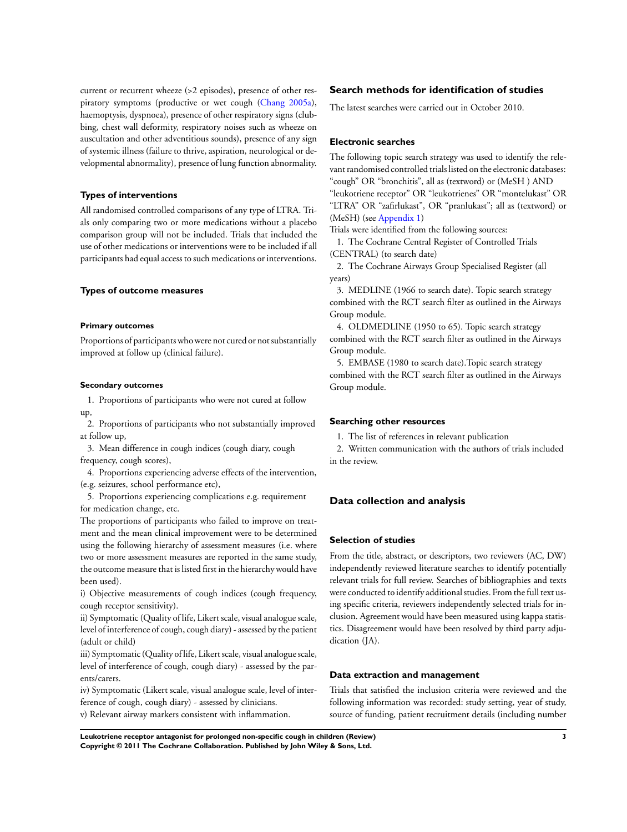current or recurrent wheeze (>2 episodes), presence of other respiratory symptoms (productive or wet cough [\(Chang 2005a](#page-7-0)), haemoptysis, dyspnoea), presence of other respiratory signs (clubbing, chest wall deformity, respiratory noises such as wheeze on auscultation and other adventitious sounds), presence of any sign of systemic illness (failure to thrive, aspiration, neurological or developmental abnormality), presence of lung function abnormality.

#### **Types of interventions**

All randomised controlled comparisons of any type of LTRA. Trials only comparing two or more medications without a placebo comparison group will not be included. Trials that included the use of other medications or interventions were to be included if all participants had equal access to such medications or interventions.

#### **Types of outcome measures**

#### **Primary outcomes**

Proportions of participants who were not cured or not substantially improved at follow up (clinical failure).

#### **Secondary outcomes**

1. Proportions of participants who were not cured at follow up,

2. Proportions of participants who not substantially improved at follow up,

3. Mean difference in cough indices (cough diary, cough frequency, cough scores),

4. Proportions experiencing adverse effects of the intervention, (e.g. seizures, school performance etc),

5. Proportions experiencing complications e.g. requirement for medication change, etc.

The proportions of participants who failed to improve on treatment and the mean clinical improvement were to be determined using the following hierarchy of assessment measures (i.e. where two or more assessment measures are reported in the same study, the outcome measure that is listed first in the hierarchy would have been used).

i) Objective measurements of cough indices (cough frequency, cough receptor sensitivity).

ii) Symptomatic (Quality of life, Likert scale, visual analogue scale, level of interference of cough, cough diary) - assessed by the patient (adult or child)

iii) Symptomatic (Quality of life, Likert scale, visual analogue scale, level of interference of cough, cough diary) - assessed by the parents/carers.

iv) Symptomatic (Likert scale, visual analogue scale, level of interference of cough, cough diary) - assessed by clinicians.

v) Relevant airway markers consistent with inflammation.

#### **Search methods for identification of studies**

The latest searches were carried out in October 2010.

#### **Electronic searches**

The following topic search strategy was used to identify the relevant randomised controlled trials listed on the electronic databases: "cough" OR "bronchitis", all as (textword) or (MeSH ) AND "leukotriene receptor" OR "leukotrienes" OR "montelukast" OR "LTRA" OR "zafirlukast", OR "pranlukast"; all as (textword) or (MeSH) (see [Appendix 1](#page-15-0))

Trials were identified from the following sources:

1. The Cochrane Central Register of Controlled Trials (CENTRAL) (to search date)

2. The Cochrane Airways Group Specialised Register (all years)

3. MEDLINE (1966 to search date). Topic search strategy combined with the RCT search filter as outlined in the Airways Group module.

4. OLDMEDLINE (1950 to 65). Topic search strategy combined with the RCT search filter as outlined in the Airways Group module.

5. EMBASE (1980 to search date).Topic search strategy combined with the RCT search filter as outlined in the Airways Group module.

#### **Searching other resources**

1. The list of references in relevant publication

2. Written communication with the authors of trials included in the review.

#### **Data collection and analysis**

#### **Selection of studies**

From the title, abstract, or descriptors, two reviewers (AC, DW) independently reviewed literature searches to identify potentially relevant trials for full review. Searches of bibliographies and texts were conducted to identify additional studies. From the full text using specific criteria, reviewers independently selected trials for inclusion. Agreement would have been measured using kappa statistics. Disagreement would have been resolved by third party adjudication (JA).

#### **Data extraction and management**

Trials that satisfied the inclusion criteria were reviewed and the following information was recorded: study setting, year of study, source of funding, patient recruitment details (including number

**Leukotriene receptor antagonist for prolonged non-specific cough in children (Review) 3 Copyright © 2011 The Cochrane Collaboration. Published by John Wiley & Sons, Ltd.**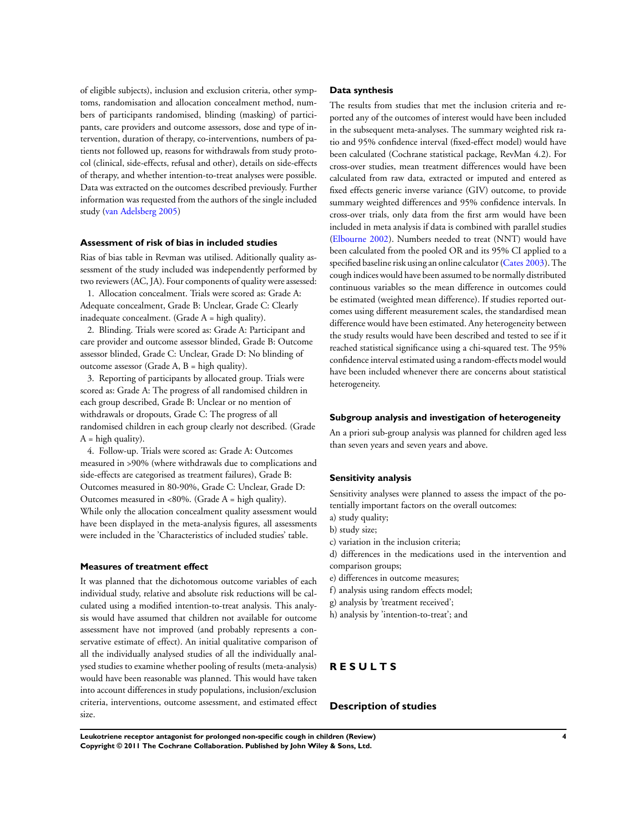of eligible subjects), inclusion and exclusion criteria, other symptoms, randomisation and allocation concealment method, numbers of participants randomised, blinding (masking) of participants, care providers and outcome assessors, dose and type of intervention, duration of therapy, co-interventions, numbers of patients not followed up, reasons for withdrawals from study protocol (clinical, side-effects, refusal and other), details on side-effects of therapy, and whether intention-to-treat analyses were possible. Data was extracted on the outcomes described previously. Further information was requested from the authors of the single included study [\(van Adelsberg 2005\)](#page-7-0)

#### **Assessment of risk of bias in included studies**

Rias of bias table in Revman was utilised. Aditionally quality assessment of the study included was independently performed by two reviewers (AC, JA). Four components of quality were assessed:

1. Allocation concealment. Trials were scored as: Grade A: Adequate concealment, Grade B: Unclear, Grade C: Clearly inadequate concealment. (Grade A = high quality).

2. Blinding. Trials were scored as: Grade A: Participant and care provider and outcome assessor blinded, Grade B: Outcome assessor blinded, Grade C: Unclear, Grade D: No blinding of outcome assessor (Grade A, B = high quality).

3. Reporting of participants by allocated group. Trials were scored as: Grade A: The progress of all randomised children in each group described, Grade B: Unclear or no mention of withdrawals or dropouts, Grade C: The progress of all randomised children in each group clearly not described. (Grade  $A = high$  quality).

4. Follow-up. Trials were scored as: Grade A: Outcomes measured in >90% (where withdrawals due to complications and side-effects are categorised as treatment failures), Grade B: Outcomes measured in 80-90%, Grade C: Unclear, Grade D: Outcomes measured in  $<80\%$ . (Grade A = high quality). While only the allocation concealment quality assessment would have been displayed in the meta-analysis figures, all assessments were included in the 'Characteristics of included studies' table.

#### **Measures of treatment effect**

It was planned that the dichotomous outcome variables of each individual study, relative and absolute risk reductions will be calculated using a modified intention-to-treat analysis. This analysis would have assumed that children not available for outcome assessment have not improved (and probably represents a conservative estimate of effect). An initial qualitative comparison of all the individually analysed studies of all the individually analysed studies to examine whether pooling of results (meta-analysis) would have been reasonable was planned. This would have taken into account differences in study populations, inclusion/exclusion criteria, interventions, outcome assessment, and estimated effect size.

#### **Data synthesis**

The results from studies that met the inclusion criteria and reported any of the outcomes of interest would have been included in the subsequent meta-analyses. The summary weighted risk ratio and 95% confidence interval (fixed-effect model) would have been calculated (Cochrane statistical package, RevMan 4.2). For cross-over studies, mean treatment differences would have been calculated from raw data, extracted or imputed and entered as fixed effects generic inverse variance (GIV) outcome, to provide summary weighted differences and 95% confidence intervals. In cross-over trials, only data from the first arm would have been included in meta analysis if data is combined with parallel studies [\(Elbourne 2002](#page-7-0)). Numbers needed to treat (NNT) would have been calculated from the pooled OR and its 95% CI applied to a specified baseline risk using an online calculator [\(Cates 2003](#page-7-0)). The cough indices would have been assumed to be normally distributed continuous variables so the mean difference in outcomes could be estimated (weighted mean difference). If studies reported outcomes using different measurement scales, the standardised mean difference would have been estimated. Any heterogeneity between the study results would have been described and tested to see if it reached statistical significance using a chi-squared test. The 95% confidence interval estimated using a random-effects model would have been included whenever there are concerns about statistical heterogeneity.

#### **Subgroup analysis and investigation of heterogeneity**

An a priori sub-group analysis was planned for children aged less than seven years and seven years and above.

#### **Sensitivity analysis**

Sensitivity analyses were planned to assess the impact of the potentially important factors on the overall outcomes:

- a) study quality;
- b) study size;
- c) variation in the inclusion criteria;

d) differences in the medications used in the intervention and comparison groups;

- e) differences in outcome measures;
- f) analysis using random effects model;
- g) analysis by 'treatment received';
- h) analysis by 'intention-to-treat'; and

## **R E S U L T S**

## **Description of studies**

**Leukotriene receptor antagonist for prolonged non-specific cough in children (Review) 4 Copyright © 2011 The Cochrane Collaboration. Published by John Wiley & Sons, Ltd.**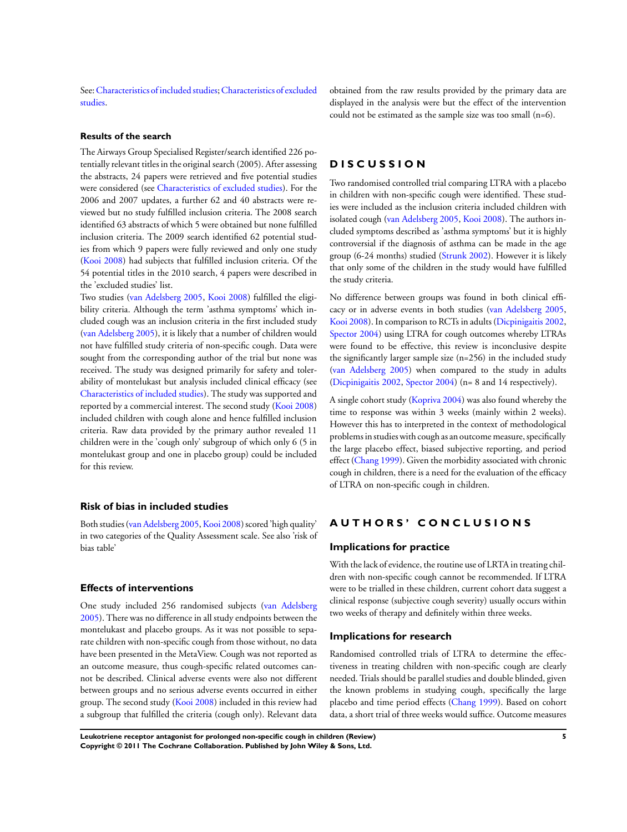See:[Characteristics of included studies;](#page-9-0)[Characteristics of excluded](#page-11-0) [studies.](#page-11-0)

#### **Results of the search**

The Airways Group Specialised Register/search identified 226 potentially relevant titles in the original search (2005). After assessing the abstracts, 24 papers were retrieved and five potential studies were considered (see [Characteristics of excluded studies](#page-11-0)). For the 2006 and 2007 updates, a further 62 and 40 abstracts were reviewed but no study fulfilled inclusion criteria. The 2008 search identified 63 abstracts of which 5 were obtained but none fulfilled inclusion criteria. The 2009 search identified 62 potential studies from which 9 papers were fully reviewed and only one study [\(Kooi 2008\)](#page-7-0) had subjects that fulfilled inclusion criteria. Of the 54 potential titles in the 2010 search, 4 papers were described in the 'excluded studies' list.

Two studies [\(van Adelsberg 2005,](#page-7-0) [Kooi 2008](#page-7-0)) fulfilled the eligibility criteria. Although the term 'asthma symptoms' which included cough was an inclusion criteria in the first included study [\(van Adelsberg 2005](#page-7-0)), it is likely that a number of children would not have fulfilled study criteria of non-specific cough. Data were sought from the corresponding author of the trial but none was received. The study was designed primarily for safety and tolerability of montelukast but analysis included clinical efficacy (see [Characteristics of included studies](#page-9-0)). The study was supported and reported by a commercial interest. The second study [\(Kooi 2008](#page-7-0)) included children with cough alone and hence fulfilled inclusion criteria. Raw data provided by the primary author revealed 11 children were in the 'cough only' subgroup of which only 6 (5 in montelukast group and one in placebo group) could be included for this review.

#### **Risk of bias in included studies**

Both studies [\(van Adelsberg 2005](#page-7-0),[Kooi 2008\)](#page-7-0) scored 'high quality' in two categories of the Quality Assessment scale. See also 'risk of bias table'

#### **Effects of interventions**

One study included 256 randomised subjects ([van Adelsberg](#page-7-0) [2005](#page-7-0)). There was no difference in all study endpoints between the montelukast and placebo groups. As it was not possible to separate children with non-specific cough from those without, no data have been presented in the MetaView. Cough was not reported as an outcome measure, thus cough-specific related outcomes cannot be described. Clinical adverse events were also not different between groups and no serious adverse events occurred in either group. The second study [\(Kooi 2008](#page-7-0)) included in this review had a subgroup that fulfilled the criteria (cough only). Relevant data

obtained from the raw results provided by the primary data are displayed in the analysis were but the effect of the intervention could not be estimated as the sample size was too small (n=6).

#### **D I S C U S S I O N**

Two randomised controlled trial comparing LTRA with a placebo in children with non-specific cough were identified. These studies were included as the inclusion criteria included children with isolated cough ([van Adelsberg 2005,](#page-7-0) [Kooi 2008](#page-7-0)). The authors included symptoms described as 'asthma symptoms' but it is highly controversial if the diagnosis of asthma can be made in the age group (6-24 months) studied ([Strunk 2002\)](#page-7-0). However it is likely that only some of the children in the study would have fulfilled the study criteria.

No difference between groups was found in both clinical efficacy or in adverse events in both studies [\(van Adelsberg 2005,](#page-7-0) [Kooi 2008\)](#page-7-0). In comparison to RCTs in adults ([Dicpinigaitis 2002,](#page-7-0) [Spector 2004\)](#page-7-0) using LTRA for cough outcomes whereby LTRAs were found to be effective, this review is inconclusive despite the significantly larger sample size (n=256) in the included study [\(van Adelsberg 2005](#page-7-0)) when compared to the study in adults [\(Dicpinigaitis 2002](#page-7-0), [Spector 2004\)](#page-7-0) (n= 8 and 14 respectively).

A single cohort study [\(Kopriva 2004\)](#page-7-0) was also found whereby the time to response was within 3 weeks (mainly within 2 weeks). However this has to interpreted in the context of methodological problems in studies with cough as an outcome measure, specifically the large placebo effect, biased subjective reporting, and period effect ([Chang 1999\)](#page-7-0). Given the morbidity associated with chronic cough in children, there is a need for the evaluation of the efficacy of LTRA on non-specific cough in children.

## **A U T H O R S ' C O N C L U S I O N S**

#### **Implications for practice**

With the lack of evidence, the routine use of LRTA in treating children with non-specific cough cannot be recommended. If LTRA were to be trialled in these children, current cohort data suggest a clinical response (subjective cough severity) usually occurs within two weeks of therapy and definitely within three weeks.

#### **Implications for research**

Randomised controlled trials of LTRA to determine the effectiveness in treating children with non-specific cough are clearly needed. Trials should be parallel studies and double blinded, given the known problems in studying cough, specifically the large placebo and time period effects ([Chang 1999\)](#page-7-0). Based on cohort data, a short trial of three weeks would suffice. Outcome measures

**Leukotriene receptor antagonist for prolonged non-specific cough in children (Review) 5 Copyright © 2011 The Cochrane Collaboration. Published by John Wiley & Sons, Ltd.**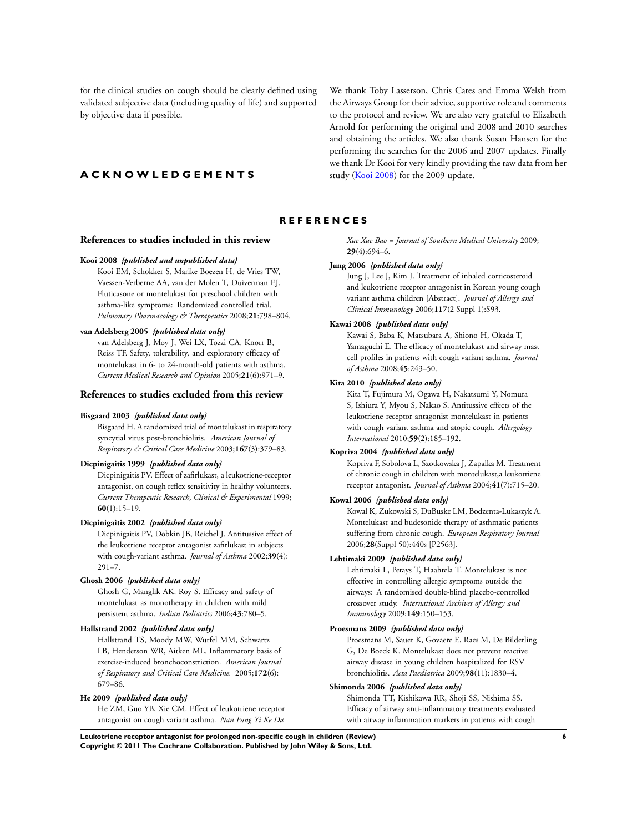<span id="page-7-0"></span>for the clinical studies on cough should be clearly defined using validated subjective data (including quality of life) and supported by objective data if possible.

**A C K N O W L E D G E M E N T S**

We thank Toby Lasserson, Chris Cates and Emma Welsh from the Airways Group for their advice, supportive role and comments to the protocol and review. We are also very grateful to Elizabeth Arnold for performing the original and 2008 and 2010 searches and obtaining the articles. We also thank Susan Hansen for the performing the searches for the 2006 and 2007 updates. Finally we thank Dr Kooi for very kindly providing the raw data from her study (Kooi 2008) for the 2009 update.

#### **R E F E R E N C E S**

#### **References to studies included in this review**

#### **Kooi 2008** *{published and unpublished data}*

Kooi EM, Schokker S, Marike Boezen H, de Vries TW, Vaessen-Verberne AA, van der Molen T, Duiverman EJ. Fluticasone or montelukast for preschool children with asthma-like symptoms: Randomized controlled trial. *Pulmonary Pharmacology & Therapeutics* 2008;**21**:798–804.

#### **van Adelsberg 2005** *{published data only}*

van Adelsberg J, Moy J, Wei LX, Tozzi CA, Knorr B, Reiss TF. Safety, tolerability, and exploratory efficacy of montelukast in 6- to 24-month-old patients with asthma. *Current Medical Research and Opinion* 2005;**21**(6):971–9.

#### **References to studies excluded from this review**

#### **Bisgaard 2003** *{published data only}*

Bisgaard H. A randomized trial of montelukast in respiratory syncytial virus post-bronchiolitis. *American Journal of Respiratory & Critical Care Medicine* 2003;**167**(3):379–83.

#### **Dicpinigaitis 1999** *{published data only}*

Dicpinigaitis PV. Effect of zafirlukast, a leukotriene-receptor antagonist, on cough reflex sensitivity in healthy volunteers. *Current Therapeutic Research, Clinical & Experimental* 1999; **60**(1):15–19.

#### **Dicpinigaitis 2002** *{published data only}*

Dicpinigaitis PV, Dobkin JB, Reichel J. Antitussive effect of the leukotriene receptor antagonist zafirlukast in subjects with cough-variant asthma. *Journal of Asthma* 2002;**39**(4): 291–7.

#### **Ghosh 2006** *{published data only}*

Ghosh G, Manglik AK, Roy S. Efficacy and safety of montelukast as monotherapy in children with mild persistent asthma. *Indian Pediatrics* 2006;**43**:780–5.

#### **Hallstrand 2002** *{published data only}*

Hallstrand TS, Moody MW, Wurfel MM, Schwartz LB, Henderson WR, Aitken ML. Inflammatory basis of exercise-induced bronchoconstriction. *American Journal of Respiratory and Critical Care Medicine.* 2005;**172**(6): 679–86.

#### **He 2009** *{published data only}*

He ZM, Guo YB, Xie CM. Effect of leukotriene receptor antagonist on cough variant asthma. *Nan Fang Yi Ke Da*

*Xue Xue Bao = Journal of Southern Medical University* 2009; **29**(4):694–6.

#### **Jung 2006** *{published data only}*

Jung J, Lee J, Kim J. Treatment of inhaled corticosteroid and leukotriene receptor antagonist in Korean young cough variant asthma children [Abstract]. *Journal of Allergy and Clinical Immunology* 2006;**117**(2 Suppl 1):S93.

#### **Kawai 2008** *{published data only}*

Kawai S, Baba K, Matsubara A, Shiono H, Okada T, Yamaguchi E. The efficacy of montelukast and airway mast cell profiles in patients with cough variant asthma. *Journal of Asthma* 2008;**45**:243–50.

#### **Kita 2010** *{published data only}*

Kita T, Fujimura M, Ogawa H, Nakatsumi Y, Nomura S, Ishiura Y, Myou S, Nakao S. Antitussive effects of the leukotriene receptor antagonist montelukast in patients with cough variant asthma and atopic cough. *Allergology International* 2010;**59**(2):185–192.

#### **Kopriva 2004** *{published data only}*

Kopriva F, Sobolova L, Szotkowska J, Zapalka M. Treatment of chronic cough in children with montelukast,a leukotriene receptor antagonist. *Journal of Asthma* 2004;**41**(7):715–20.

#### **Kowal 2006** *{published data only}*

Kowal K, Zukowski S, DuBuske LM, Bodzenta-Lukaszyk A. Montelukast and budesonide therapy of asthmatic patients suffering from chronic cough. *European Respiratory Journal* 2006;**28**(Suppl 50):440s [P2563].

#### **Lehtimaki 2009** *{published data only}*

Lehtimaki L, Petays T, Haahtela T. Montelukast is not effective in controlling allergic symptoms outside the airways: A randomised double-blind placebo-controlled crossover study. *International Archives of Allergy and Immunology* 2009;**149**:150–153.

#### **Proesmans 2009** *{published data only}*

Proesmans M, Sauer K, Govaere E, Raes M, De Bilderling G, De Boeck K. Montelukast does not prevent reactive airway disease in young children hospitalized for RSV bronchiolitis. *Acta Paediatrica* 2009;**98**(11):1830–4.

#### **Shimonda 2006** *{published data only}*

Shimonda TT, Kishikawa RR, Shoji SS, Nishima SS. Efficacy of airway anti-inflammatory treatments evaluated with airway inflammation markers in patients with cough

**Leukotriene receptor antagonist for prolonged non-specific cough in children (Review) 6 Copyright © 2011 The Cochrane Collaboration. Published by John Wiley & Sons, Ltd.**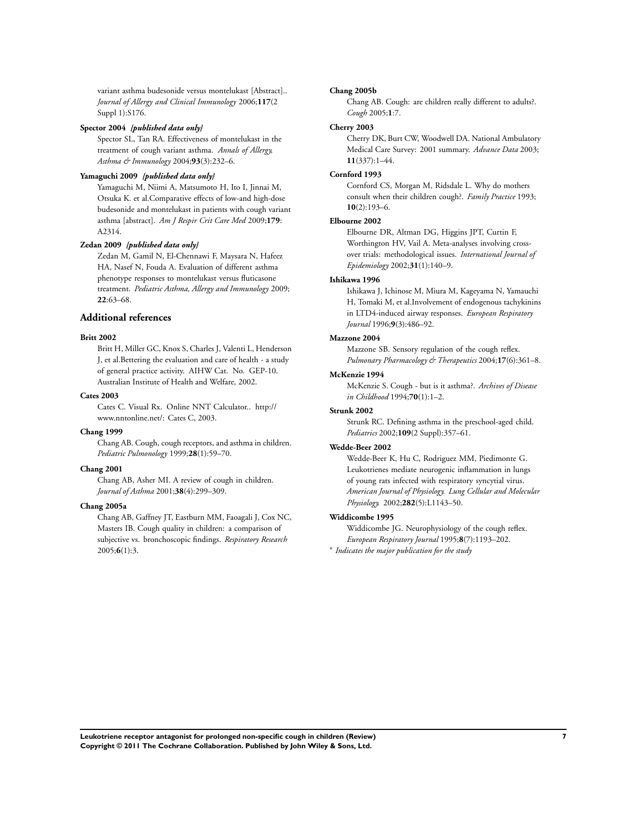variant asthma budesonide versus montelukast [Abstract].. *Journal of Allergy and Clinical Immunology* 2006;**117**(2 Suppl 1):S176.

#### **Spector 2004** *{published data only}*

Spector SL, Tan RA. Effectiveness of montelukast in the treatment of cough variant asthma. *Annals of Allergy, Asthma & Immunology* 2004;**93**(3):232–6.

#### **Yamaguchi 2009** *{published data only}*

Yamaguchi M, Niimi A, Matsumoto H, Ito I, Jinnai M, Otsuka K. et al.Comparative effects of low-and high-dose budesonide and montelukast in patients with cough variant asthma [abstract]. *Am J Respir Crit Care Med* 2009;**179**: A2314.

#### **Zedan 2009** *{published data only}*

Zedan M, Gamil N, El-Chennawi F, Maysara N, Hafeez HA, Nasef N, Fouda A. Evaluation of different asthma phenotype responses to montelukast versus fluticasone treatment. *Pediatric Asthma, Allergy and Immunology* 2009; **22**:63–68.

#### **Additional references**

#### **Britt 2002**

Britt H, Miller GC, Knox S, Charles J, Valenti L, Henderson J, et al.Bettering the evaluation and care of health - a study of general practice activity. AIHW Cat. No. GEP-10. Australian Institute of Health and Welfare, 2002.

#### **Cates 2003**

Cates C. Visual Rx. Online NNT Calculator.. http:// www.nntonline.net/: Cates C, 2003.

#### **Chang 1999**

Chang AB. Cough, cough receptors, and asthma in children. *Pediatric Pulmonology* 1999;**28**(1):59–70.

#### **Chang 2001**

Chang AB, Asher MI. A review of cough in children. *Journal of Asthma* 2001;**38**(4):299–309.

#### **Chang 2005a**

Chang AB, Gaffney JT, Eastburn MM, Faoagali J, Cox NC, Masters IB. Cough quality in children: a comparison of subjective vs. bronchoscopic findings. *Respiratory Research* 2005;**6**(1):3.

#### **Chang 2005b**

Chang AB. Cough: are children really different to adults?. *Cough* 2005;**1**:7.

#### **Cherry 2003**

Cherry DK, Burt CW, Woodwell DA. National Ambulatory Medical Care Survey: 2001 summary. *Advance Data* 2003; **11**(337):1–44.

#### **Cornford 1993**

Cornford CS, Morgan M, Ridsdale L. Why do mothers consult when their children cough?. *Family Practice* 1993; **10**(2):193–6.

#### **Elbourne 2002**

Elbourne DR, Altman DG, Higgins JPT, Curtin F, Worthington HV, Vail A. Meta-analyses involving crossover trials: methodological issues. *International Journal of Epidemiology* 2002;**31**(1):140–9.

#### **Ishikawa 1996**

Ishikawa J, Ichinose M, Miura M, Kageyama N, Yamauchi H, Tomaki M, et al.Involvement of endogenous tachykinins in LTD4-induced airway responses. *European Respiratory Journal* 1996;**9**(3):486–92.

#### **Mazzone 2004**

Mazzone SB. Sensory regulation of the cough reflex. *Pulmonary Pharmacology & Therapeutics* 2004;**17**(6):361–8.

#### **McKenzie 1994**

McKenzie S. Cough - but is it asthma?. *Archives of Disease in Childhood* 1994;**70**(1):1–2.

#### **Strunk 2002**

Strunk RC. Defining asthma in the preschool-aged child. *Pediatrics* 2002;**109**(2 Suppl):357–61.

#### **Wedde-Beer 2002**

Wedde-Beer K, Hu C, Rodriguez MM, Piedimonte G. Leukotrienes mediate neurogenic inflammation in lungs of young rats infected with respiratory syncytial virus. *American Journal of Physiology. Lung Cellular and Molecular Physiology.* 2002;**282**(5):L1143–50.

#### **Widdicombe 1995**

Widdicombe JG. Neurophysiology of the cough reflex. *European Respiratory Journal* 1995;**8**(7):1193–202.

∗ *Indicates the major publication for the study*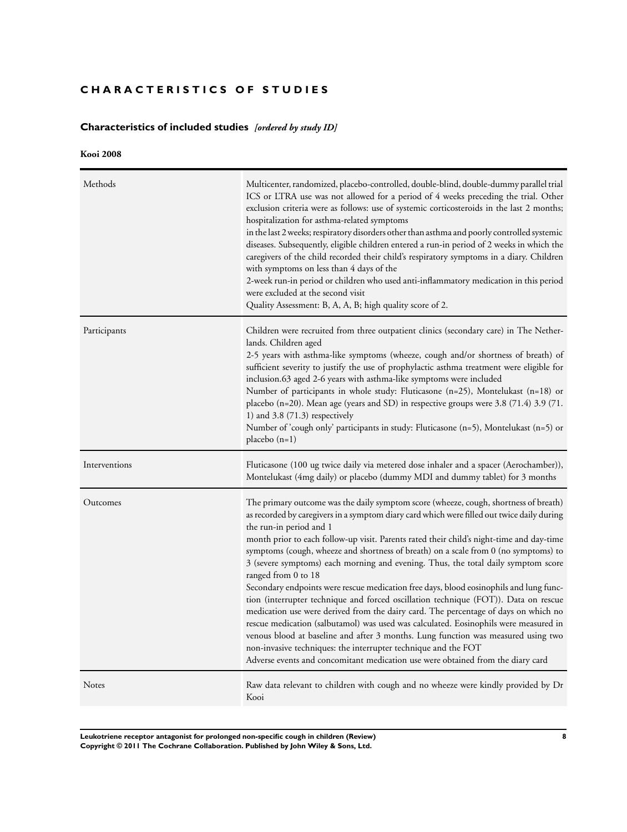## <span id="page-9-0"></span>**CHARACTERISTICS OF STUDIES**

## **Characteristics of included studies** *[ordered by study ID]*

### **Kooi 2008**

| Methods       | Multicenter, randomized, placebo-controlled, double-blind, double-dummy parallel trial<br>ICS or LTRA use was not allowed for a period of 4 weeks preceding the trial. Other<br>exclusion criteria were as follows: use of systemic corticosteroids in the last 2 months;<br>hospitalization for asthma-related symptoms<br>in the last 2 weeks; respiratory disorders other than asthma and poorly controlled systemic<br>diseases. Subsequently, eligible children entered a run-in period of 2 weeks in which the<br>caregivers of the child recorded their child's respiratory symptoms in a diary. Children<br>with symptoms on less than 4 days of the<br>2-week run-in period or children who used anti-inflammatory medication in this period<br>were excluded at the second visit<br>Quality Assessment: B, A, A, B; high quality score of 2.                                                                                                                                                                                                                                                                 |
|---------------|------------------------------------------------------------------------------------------------------------------------------------------------------------------------------------------------------------------------------------------------------------------------------------------------------------------------------------------------------------------------------------------------------------------------------------------------------------------------------------------------------------------------------------------------------------------------------------------------------------------------------------------------------------------------------------------------------------------------------------------------------------------------------------------------------------------------------------------------------------------------------------------------------------------------------------------------------------------------------------------------------------------------------------------------------------------------------------------------------------------------|
| Participants  | Children were recruited from three outpatient clinics (secondary care) in The Nether-<br>lands. Children aged<br>2-5 years with asthma-like symptoms (wheeze, cough and/or shortness of breath) of<br>sufficient severity to justify the use of prophylactic asthma treatment were eligible for<br>inclusion.63 aged 2-6 years with asthma-like symptoms were included<br>Number of participants in whole study: Fluticasone (n=25), Montelukast (n=18) or<br>placebo (n=20). Mean age (years and SD) in respective groups were 3.8 (71.4) 3.9 (71.<br>1) and 3.8 $(71.3)$ respectively<br>Number of 'cough only' participants in study: Fluticasone (n=5), Montelukast (n=5) or<br>$placebo(n=1)$                                                                                                                                                                                                                                                                                                                                                                                                                     |
| Interventions | Fluticasone (100 ug twice daily via metered dose inhaler and a spacer (Aerochamber)),<br>Montelukast (4mg daily) or placebo (dummy MDI and dummy tablet) for 3 months                                                                                                                                                                                                                                                                                                                                                                                                                                                                                                                                                                                                                                                                                                                                                                                                                                                                                                                                                  |
| Outcomes      | The primary outcome was the daily symptom score (wheeze, cough, shortness of breath)<br>as recorded by caregivers in a symptom diary card which were filled out twice daily during<br>the run-in period and 1<br>month prior to each follow-up visit. Parents rated their child's night-time and day-time<br>symptoms (cough, wheeze and shortness of breath) on a scale from 0 (no symptoms) to<br>3 (severe symptoms) each morning and evening. Thus, the total daily symptom score<br>ranged from 0 to 18<br>Secondary endpoints were rescue medication free days, blood eosinophils and lung func-<br>tion (interrupter technique and forced oscillation technique (FOT)). Data on rescue<br>medication use were derived from the dairy card. The percentage of days on which no<br>rescue medication (salbutamol) was used was calculated. Eosinophils were measured in<br>venous blood at baseline and after 3 months. Lung function was measured using two<br>non-invasive techniques: the interrupter technique and the FOT<br>Adverse events and concomitant medication use were obtained from the diary card |
| Notes         | Raw data relevant to children with cough and no wheeze were kindly provided by Dr<br>Kooi                                                                                                                                                                                                                                                                                                                                                                                                                                                                                                                                                                                                                                                                                                                                                                                                                                                                                                                                                                                                                              |

**Leukotriene receptor antagonist for prolonged non-specific cough in children (Review) 8 Copyright © 2011 The Cochrane Collaboration. Published by John Wiley & Sons, Ltd.**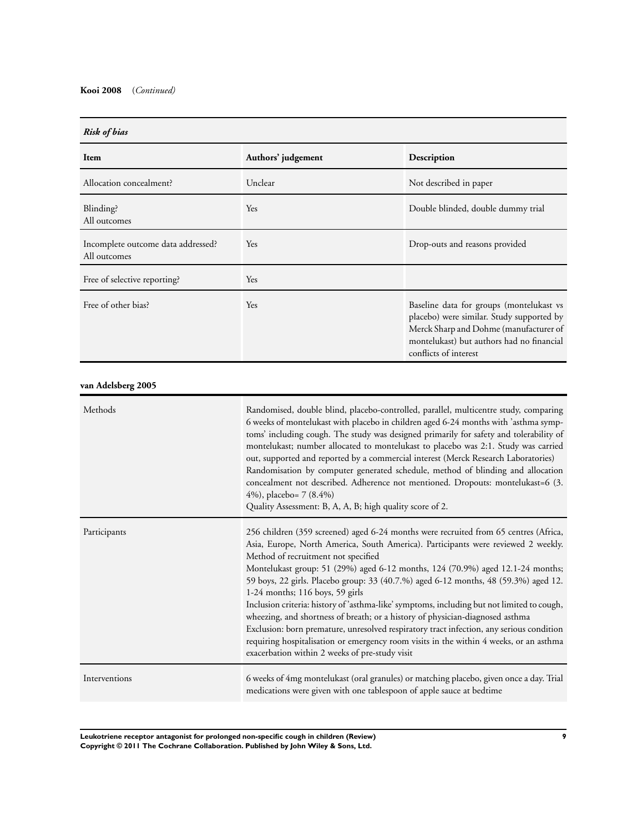## *Risk of bias*

| Item                                               | Authors' judgement | Description                                                                                                                                                                                           |
|----------------------------------------------------|--------------------|-------------------------------------------------------------------------------------------------------------------------------------------------------------------------------------------------------|
| Allocation concealment?                            | Unclear            | Not described in paper                                                                                                                                                                                |
| Blinding?<br>All outcomes                          | Yes                | Double blinded, double dummy trial                                                                                                                                                                    |
| Incomplete outcome data addressed?<br>All outcomes | Yes                | Drop-outs and reasons provided                                                                                                                                                                        |
| Free of selective reporting?                       | Yes                |                                                                                                                                                                                                       |
| Free of other bias?                                | Yes                | Baseline data for groups (montelukast vs<br>placebo) were similar. Study supported by<br>Merck Sharp and Dohme (manufacturer of<br>montelukast) but authors had no financial<br>conflicts of interest |

## **van Adelsberg 2005**

| Methods       | Randomised, double blind, placebo-controlled, parallel, multicentre study, comparing<br>6 weeks of montelukast with placebo in children aged 6-24 months with 'asthma symp-<br>toms' including cough. The study was designed primarily for safety and tolerability of<br>montelukast; number allocated to montelukast to placebo was 2:1. Study was carried<br>out, supported and reported by a commercial interest (Merck Research Laboratories)<br>Randomisation by computer generated schedule, method of blinding and allocation<br>concealment not described. Adherence not mentioned. Dropouts: montelukast=6 (3.<br>4%), placebo= 7 (8.4%)<br>Quality Assessment: B, A, A, B; high quality score of 2.                                                                                                                                       |
|---------------|-----------------------------------------------------------------------------------------------------------------------------------------------------------------------------------------------------------------------------------------------------------------------------------------------------------------------------------------------------------------------------------------------------------------------------------------------------------------------------------------------------------------------------------------------------------------------------------------------------------------------------------------------------------------------------------------------------------------------------------------------------------------------------------------------------------------------------------------------------|
| Participants  | 256 children (359 screened) aged 6-24 months were recruited from 65 centres (Africa,<br>Asia, Europe, North America, South America). Participants were reviewed 2 weekly.<br>Method of recruitment not specified<br>Montelukast group: 51 (29%) aged 6-12 months, 124 (70.9%) aged 12.1-24 months;<br>59 boys, 22 girls. Placebo group: 33 (40.7.%) aged 6-12 months, 48 (59.3%) aged 12.<br>1-24 months; 116 boys, 59 girls<br>Inclusion criteria: history of 'asthma-like' symptoms, including but not limited to cough,<br>wheezing, and shortness of breath; or a history of physician-diagnosed asthma<br>Exclusion: born premature, unresolved respiratory tract infection, any serious condition<br>requiring hospitalisation or emergency room visits in the within 4 weeks, or an asthma<br>exacerbation within 2 weeks of pre-study visit |
| Interventions | 6 weeks of 4mg montelukast (oral granules) or matching placebo, given once a day. Trial<br>medications were given with one tablespoon of apple sauce at bedtime                                                                                                                                                                                                                                                                                                                                                                                                                                                                                                                                                                                                                                                                                     |

**Leukotriene receptor antagonist for prolonged non-specific cough in children (Review) 9 Copyright © 2011 The Cochrane Collaboration. Published by John Wiley & Sons, Ltd.**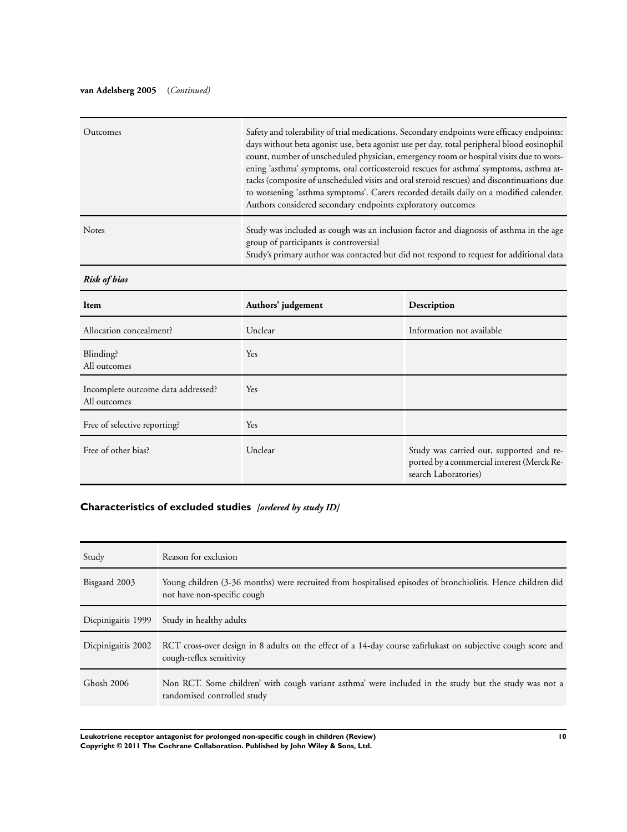#### <span id="page-11-0"></span>**van Adelsberg 2005** (*Continued)*

| Outcomes     | Safety and tolerability of trial medications. Secondary endpoints were efficacy endpoints:<br>days without beta agonist use, beta agonist use per day, total peripheral blood eosinophil<br>count, number of unscheduled physician, emergency room or hospital visits due to wors-<br>ening 'asthma' symptoms, oral corticosteroid rescues for asthma' symptoms, asthma at-<br>tacks (composite of unscheduled visits and oral steroid rescues) and discontinuations due<br>to worsening 'asthma symptoms'. Carers recorded details daily on a modified calender.<br>Authors considered secondary endpoints exploratory outcomes |
|--------------|----------------------------------------------------------------------------------------------------------------------------------------------------------------------------------------------------------------------------------------------------------------------------------------------------------------------------------------------------------------------------------------------------------------------------------------------------------------------------------------------------------------------------------------------------------------------------------------------------------------------------------|
| <b>Notes</b> | Study was included as cough was an inclusion factor and diagnosis of asthma in the age<br>group of participants is controversial<br>Study's primary author was contacted but did not respond to request for additional data                                                                                                                                                                                                                                                                                                                                                                                                      |

## *Risk of bias*

| Item                                               | Authors' judgement | Description                                                                                                    |  |  |  |  |  |
|----------------------------------------------------|--------------------|----------------------------------------------------------------------------------------------------------------|--|--|--|--|--|
| Allocation concealment?                            | Unclear            | Information not available                                                                                      |  |  |  |  |  |
| Blinding?<br>All outcomes                          | Yes                |                                                                                                                |  |  |  |  |  |
| Incomplete outcome data addressed?<br>All outcomes | Yes                |                                                                                                                |  |  |  |  |  |
| Free of selective reporting?                       | Yes                |                                                                                                                |  |  |  |  |  |
| Free of other bias?                                | Unclear            | Study was carried out, supported and re-<br>ported by a commercial interest (Merck Re-<br>search Laboratories) |  |  |  |  |  |

## **Characteristics of excluded studies** *[ordered by study ID]*

| Study              | Reason for exclusion                                                                                                                       |
|--------------------|--------------------------------------------------------------------------------------------------------------------------------------------|
| Bisgaard 2003      | Young children (3-36 months) were recruited from hospitalised episodes of bronchiolitis. Hence children did<br>not have non-specific cough |
| Dicpinigaitis 1999 | Study in healthy adults                                                                                                                    |
| Dicpinigaitis 2002 | RCT cross-over design in 8 adults on the effect of a 14-day course zafirlukast on subjective cough score and<br>cough-reflex sensitivity   |
| Ghosh 2006         | Non RCT. Some children' with cough variant asthma' were included in the study but the study was not a<br>randomised controlled study       |

**Leukotriene receptor antagonist for prolonged non-specific cough in children (Review) 10 Copyright © 2011 The Cochrane Collaboration. Published by John Wiley & Sons, Ltd.**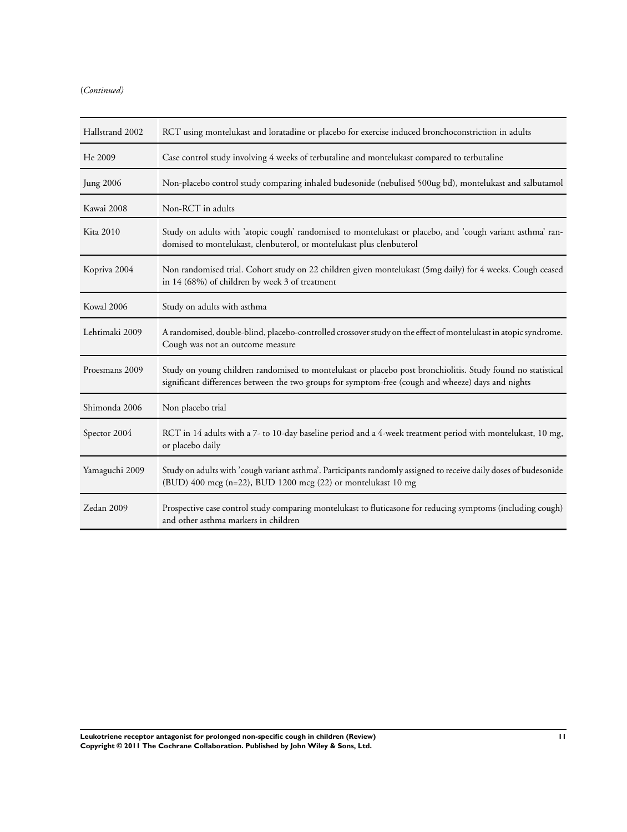## (*Continued)*

| Hallstrand 2002  | RCT using montelukast and loratadine or placebo for exercise induced bronchoconstriction in adults                                                                                                                |
|------------------|-------------------------------------------------------------------------------------------------------------------------------------------------------------------------------------------------------------------|
| He 2009          | Case control study involving 4 weeks of terbutaline and montelukast compared to terbutaline                                                                                                                       |
| <b>Jung 2006</b> | Non-placebo control study comparing inhaled budesonide (nebulised 500ug bd), montelukast and salbutamol                                                                                                           |
| Kawai 2008       | Non-RCT in adults                                                                                                                                                                                                 |
| <b>Kita 2010</b> | Study on adults with 'atopic cough' randomised to montelukast or placebo, and 'cough variant asthma' ran-<br>domised to montelukast, clenbuterol, or montelukast plus clenbuterol                                 |
| Kopriva 2004     | Non randomised trial. Cohort study on 22 children given montelukast (5mg daily) for 4 weeks. Cough ceased<br>in 14 (68%) of children by week 3 of treatment                                                       |
| Kowal 2006       | Study on adults with asthma                                                                                                                                                                                       |
| Lehtimaki 2009   | A randomised, double-blind, placebo-controlled crossover study on the effect of montelukast in atopic syndrome.<br>Cough was not an outcome measure                                                               |
| Proesmans 2009   | Study on young children randomised to montelukast or placebo post bronchiolitis. Study found no statistical<br>significant differences between the two groups for symptom-free (cough and wheeze) days and nights |
| Shimonda 2006    | Non placebo trial                                                                                                                                                                                                 |
| Spector 2004     | RCT in 14 adults with a 7- to 10-day baseline period and a 4-week treatment period with montelukast, 10 mg,<br>or placebo daily                                                                                   |
| Yamaguchi 2009   | Study on adults with 'cough variant asthma'. Participants randomly assigned to receive daily doses of budesonide<br>(BUD) 400 mcg (n=22), BUD 1200 mcg (22) or montelukast 10 mg                                  |
| Zedan 2009       | Prospective case control study comparing montelukast to fluticasone for reducing symptoms (including cough)<br>and other asthma markers in children                                                               |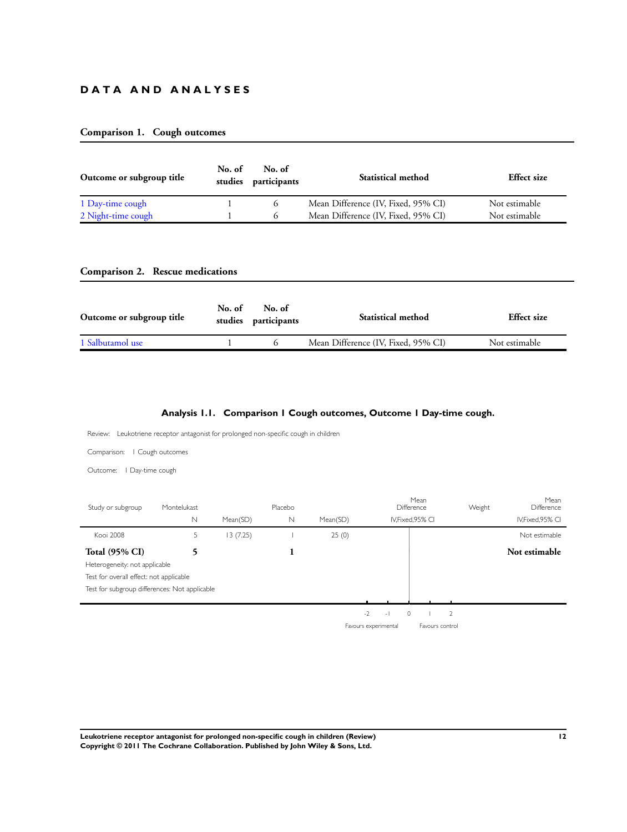## **D A T A A N D A N A L Y S E S**

## **Comparison 1. Cough outcomes**

| Outcome or subgroup title | No. of<br>studies | No. of<br>participants | <b>Statistical method</b>           | <b>Effect</b> size |
|---------------------------|-------------------|------------------------|-------------------------------------|--------------------|
| 1 Day-time cough          |                   |                        | Mean Difference (IV, Fixed, 95% CI) | Not estimable      |
| 2 Night-time cough        |                   | (2)                    | Mean Difference (IV, Fixed, 95% CI) | Not estimable      |

## **Comparison 2. Rescue medications**

| Outcome or subgroup title | No. of<br>studies | No. of<br>participants | <b>Statistical method</b>           | <b>Effect</b> size |
|---------------------------|-------------------|------------------------|-------------------------------------|--------------------|
| 1 Salbutamol use          |                   |                        | Mean Difference (IV, Fixed, 95% CI) | Not estimable      |

## **Analysis 1.1. Comparison 1 Cough outcomes, Outcome 1 Day-time cough.**

Review: Leukotriene receptor antagonist for prolonged non-specific cough in children

Comparison: 1 Cough outcomes

Outcome: 1 Day-time cough

| Study or subgroup                             | Montelukast<br>N | Mean(SD) | Placebo<br>$\mathbb N$ | Mean(SD) |                      |                | Mean<br>Difference<br>IV, Fixed, 95% CI | Weight                   | Mean<br>Difference<br>IV, Fixed, 95% CI |
|-----------------------------------------------|------------------|----------|------------------------|----------|----------------------|----------------|-----------------------------------------|--------------------------|-----------------------------------------|
| <b>Kooi 2008</b>                              | C                | 13(7.25) |                        | 25(0)    |                      |                |                                         |                          | Not estimable                           |
| <b>Total (95% CI)</b>                         |                  |          |                        |          |                      |                |                                         |                          | Not estimable                           |
| Heterogeneity: not applicable                 |                  |          |                        |          |                      |                |                                         |                          |                                         |
| Test for overall effect: not applicable       |                  |          |                        |          |                      |                |                                         |                          |                                         |
| Test for subgroup differences: Not applicable |                  |          |                        |          |                      |                |                                         |                          |                                         |
|                                               |                  |          |                        |          |                      |                |                                         |                          |                                         |
|                                               |                  |          |                        |          | $-2$                 | $\sim$ $\vert$ |                                         | $\overline{\phantom{a}}$ |                                         |
|                                               |                  |          |                        |          | Favours experimental |                | Favours control                         |                          |                                         |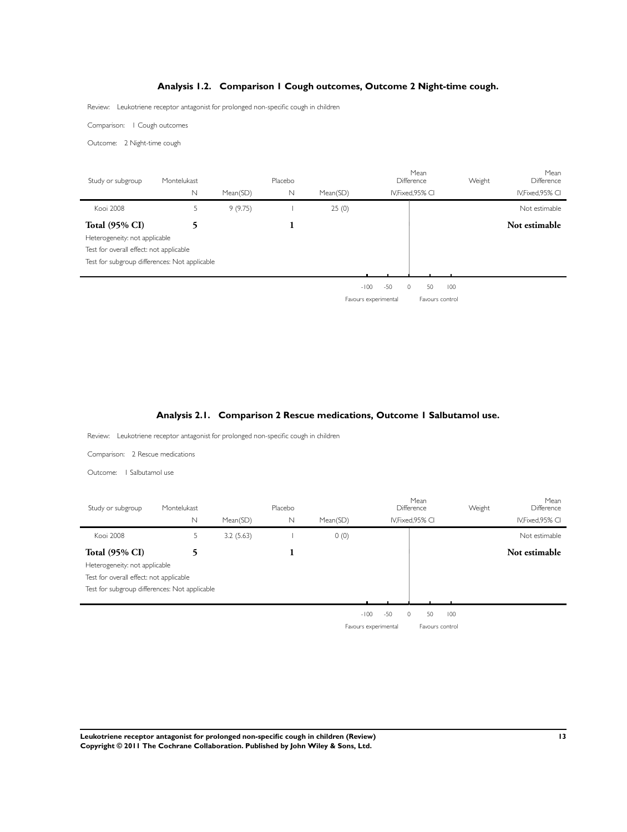## **Analysis 1.2. Comparison 1 Cough outcomes, Outcome 2 Night-time cough.**

<span id="page-14-0"></span>Review: Leukotriene receptor antagonist for prolonged non-specific cough in children

Comparison: 1 Cough outcomes

Outcome: 2 Night-time cough

| Study or subgroup                             | Montelukast |          | Placebo |          |                      |       | Difference        | Mean |                 | Weight | Mean<br>Difference |
|-----------------------------------------------|-------------|----------|---------|----------|----------------------|-------|-------------------|------|-----------------|--------|--------------------|
|                                               | N           | Mean(SD) | N       | Mean(SD) |                      |       | IV, Fixed, 95% CI |      |                 |        | IV.Fixed.95% CI    |
| <b>Kooi 2008</b>                              | 5           | 9(9.75)  |         | 25(0)    |                      |       |                   |      |                 |        | Not estimable      |
| <b>Total (95% CI)</b>                         | 5.          |          |         |          |                      |       |                   |      |                 |        | Not estimable      |
| Heterogeneity: not applicable                 |             |          |         |          |                      |       |                   |      |                 |        |                    |
| Test for overall effect: not applicable       |             |          |         |          |                      |       |                   |      |                 |        |                    |
| Test for subgroup differences: Not applicable |             |          |         |          |                      |       |                   |      |                 |        |                    |
|                                               |             |          |         |          |                      |       |                   |      |                 |        |                    |
|                                               |             |          |         |          | $-100$               | $-50$ |                   | 50   | 100             |        |                    |
|                                               |             |          |         |          | Favours experimental |       |                   |      | Favours control |        |                    |

#### **Analysis 2.1. Comparison 2 Rescue medications, Outcome 1 Salbutamol use.**

Review: Leukotriene receptor antagonist for prolonged non-specific cough in children

Comparison: 2 Rescue medications

Outcome: 1 Salbutamol use

| Study or subgroup                             | Montelukast |           | Placebo     |          |                      | Mean<br>Difference | Weight | Mean<br>Difference |
|-----------------------------------------------|-------------|-----------|-------------|----------|----------------------|--------------------|--------|--------------------|
|                                               | N           | Mean(SD)  | $\mathbb N$ | Mean(SD) |                      | IV, Fixed, 95% CI  |        | IV, Fixed, 95% CI  |
| <b>Kooi 2008</b>                              | 5           | 3.2(5.63) |             | 0(0)     |                      |                    |        | Not estimable      |
| <b>Total (95% CI)</b>                         | 5           |           |             |          |                      |                    |        | Not estimable      |
| Heterogeneity: not applicable                 |             |           |             |          |                      |                    |        |                    |
| Test for overall effect: not applicable       |             |           |             |          |                      |                    |        |                    |
| Test for subgroup differences: Not applicable |             |           |             |          |                      |                    |        |                    |
|                                               |             |           |             |          |                      |                    |        |                    |
|                                               |             |           |             |          | $-50$<br>$-100$      | 50                 | 100    |                    |
|                                               |             |           |             |          | Favours experimental | Favours control    |        |                    |
|                                               |             |           |             |          |                      |                    |        |                    |
|                                               |             |           |             |          |                      |                    |        |                    |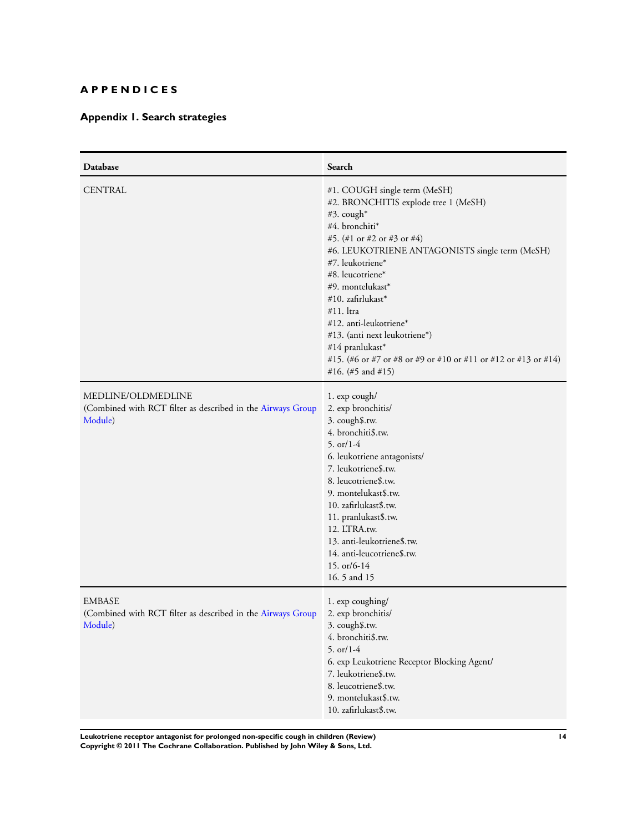## <span id="page-15-0"></span>**A P P E N D I C E S**

## **Appendix 1. Search strategies**

| Database                                                                                     | Search                                                                                                                                                                                                                                                                                                                                                                                                                                                    |
|----------------------------------------------------------------------------------------------|-----------------------------------------------------------------------------------------------------------------------------------------------------------------------------------------------------------------------------------------------------------------------------------------------------------------------------------------------------------------------------------------------------------------------------------------------------------|
| <b>CENTRAL</b>                                                                               | #1. COUGH single term (MeSH)<br>#2. BRONCHITIS explode tree 1 (MeSH)<br>#3. $cough*$<br>#4. bronchiti*<br>#5. (#1 or #2 or #3 or #4)<br>#6. LEUKOTRIENE ANTAGONISTS single term (MeSH)<br>#7. leukotriene*<br>#8. leucotriene*<br>#9. montelukast*<br>#10. zafirlukast*<br>#11. ltra<br>#12. anti-leukotriene*<br>#13. (anti next leukotriene*)<br>#14 pranlukast*<br>#15. (#6 or #7 or #8 or #9 or #10 or #11 or #12 or #13 or #14)<br>#16. (#5 and #15) |
| MEDLINE/OLDMEDLINE<br>(Combined with RCT filter as described in the Airways Group<br>Module) | 1. exp cough/<br>2. exp bronchitis/<br>3. cough\$.tw.<br>4. bronchiti\$.tw.<br>5. or/1-4<br>6. leukotriene antagonists/<br>7. leukotriene\$.tw.<br>8. leucotriene\$.tw.<br>9. montelukast\$.tw.<br>10. zafirlukast\$.tw.<br>11. pranlukast\$.tw.<br>12. LTRA.tw.<br>13. anti-leukotriene\$.tw.<br>14. anti-leucotriene\$.tw.<br>15. or/6-14<br>16.5 and 15                                                                                                |
| <b>EMBASE</b><br>(Combined with RCT filter as described in the Airways Group<br>Module)      | 1. exp coughing/<br>2. exp bronchitis/<br>3. cough\$.tw.<br>4. bronchiti\$.tw.<br>5. or $/1-4$<br>6. exp Leukotriene Receptor Blocking Agent/<br>7. leukotriene\$.tw.<br>8. leucotriene\$.tw.<br>9. montelukast\$.tw.<br>10. zafirlukast\$.tw.                                                                                                                                                                                                            |

**Leukotriene receptor antagonist for prolonged non-specific cough in children (Review) 14 Copyright © 2011 The Cochrane Collaboration. Published by John Wiley & Sons, Ltd.**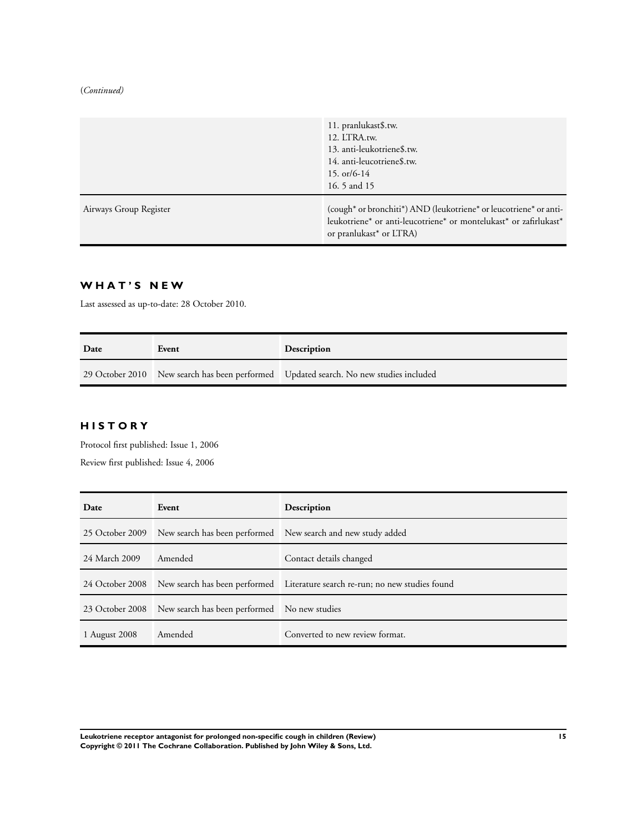#### (*Continued)*

|                        | 11. pranlukast\$.tw.<br>12. LTRA.tw.<br>13. anti-leukotriene\$.tw.<br>14. anti-leucotriene\$.tw.<br>15. or/6-14<br>16. 5 and 15                                   |
|------------------------|-------------------------------------------------------------------------------------------------------------------------------------------------------------------|
| Airways Group Register | (cough* or bronchiti*) AND (leukotriene* or leucotriene* or anti-<br>leukotriene* or anti-leucotriene* or montelukast* or zafirlukast*<br>or pranlukast* or LTRA) |

## **W H A T ' S N E W**

Last assessed as up-to-date: 28 October 2010.

| Date | Event | Description                                                                           |
|------|-------|---------------------------------------------------------------------------------------|
|      |       | 29 October 2010 New search has been performed Updated search. No new studies included |

## **H I S T O R Y**

Protocol first published: Issue 1, 2006 Review first published: Issue 4, 2006

| Date            | Event                                                        | Description                                                                                  |
|-----------------|--------------------------------------------------------------|----------------------------------------------------------------------------------------------|
| 25 October 2009 |                                                              | New search has been performed New search and new study added                                 |
| 24 March 2009   | Amended                                                      | Contact details changed                                                                      |
|                 |                                                              | 24 October 2008 New search has been performed Literature search re-run; no new studies found |
|                 | 23 October 2008 New search has been performed No new studies |                                                                                              |
| 1 August 2008   | Amended                                                      | Converted to new review format.                                                              |

**Leukotriene receptor antagonist for prolonged non-specific cough in children (Review) 15 Copyright © 2011 The Cochrane Collaboration. Published by John Wiley & Sons, Ltd.**